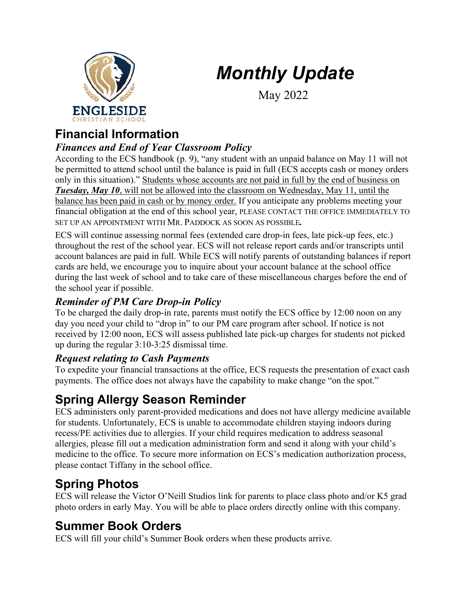# *Monthly Update*



May 2022

### **Financial Information**

#### *Finances and End of Year Classroom Policy*

According to the ECS handbook (p. 9), "any student with an unpaid balance on May 11 will not be permitted to attend school until the balance is paid in full (ECS accepts cash or money orders only in this situation)." Students whose accounts are not paid in full by the end of business on *Tuesday, May 10*, will not be allowed into the classroom on Wednesday, May 11, until the balance has been paid in cash or by money order. If you anticipate any problems meeting your financial obligation at the end of this school year, PLEASE CONTACT THE OFFICE IMMEDIATELY TO SET UP AN APPOINTMENT WITH MR. PADDOCK AS SOON AS POSSIBLE*.*

ECS will continue assessing normal fees (extended care drop-in fees, late pick-up fees, etc.) throughout the rest of the school year. ECS will not release report cards and/or transcripts until account balances are paid in full. While ECS will notify parents of outstanding balances if report cards are held, we encourage you to inquire about your account balance at the school office during the last week of school and to take care of these miscellaneous charges before the end of the school year if possible.

#### *Reminder of PM Care Drop-in Policy*

To be charged the daily drop-in rate, parents must notify the ECS office by 12:00 noon on any day you need your child to "drop in" to our PM care program after school. If notice is not received by 12:00 noon, ECS will assess published late pick-up charges for students not picked up during the regular 3:10-3:25 dismissal time.

#### *Request relating to Cash Payments*

To expedite your financial transactions at the office, ECS requests the presentation of exact cash payments. The office does not always have the capability to make change "on the spot."

### **Spring Allergy Season Reminder**

ECS administers only parent-provided medications and does not have allergy medicine available for students. Unfortunately, ECS is unable to accommodate children staying indoors during recess/PE activities due to allergies. If your child requires medication to address seasonal allergies, please fill out a medication administration form and send it along with your child's medicine to the office. To secure more information on ECS's medication authorization process, please contact Tiffany in the school office.

#### **Spring Photos**

ECS will release the Victor O'Neill Studios link for parents to place class photo and/or K5 grad photo orders in early May. You will be able to place orders directly online with this company.

#### **Summer Book Orders**

ECS will fill your child's Summer Book orders when these products arrive.